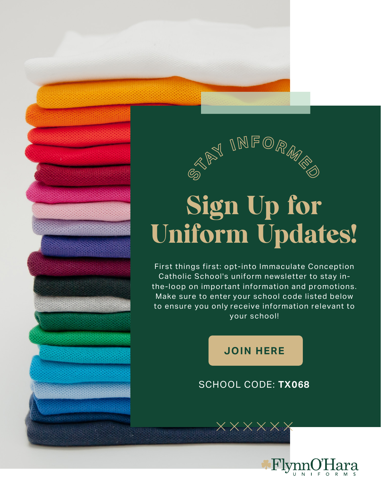

## Sign Up for Uniform Updates!

First things first: opt-into Immaculate Conception Catholic School's uniform newsletter to stay inthe-loop on important information and promotions. Make sure to enter your school code listed below to ensure you only receive information relevant to your school!

## **[JOIN HERE](https://flynnohara.com/join-our-email-list/)**

## SCHOOL CODE: **TX068**

 $\overline{\mathsf{y}}$   $\overline{\mathsf{y}}$   $\overline{\mathsf{y}}$   $\overline{\mathsf{y}}$   $\overline{\mathsf{y}}$   $\overline{\mathsf{y}}$   $\overline{\mathsf{y}}$   $\overline{\mathsf{y}}$   $\overline{\mathsf{y}}$   $\overline{\mathsf{y}}$